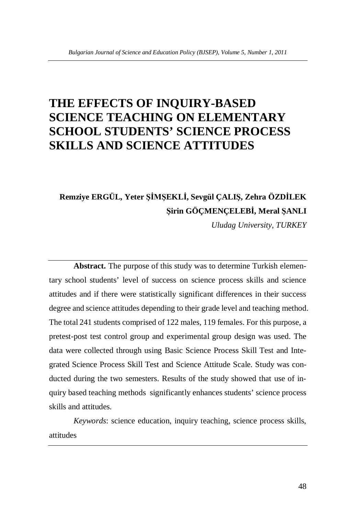# **THE EFFECTS OF INQUIRY-BASED SCIENCE TEACHING ON ELEMENTARY SCHOOL STUDENTS' SCIENCE PROCESS SKILLS AND SCIENCE ATTITUDES**

# **Remziye ERGÜL, Yeter ùø0ùEKLø, Sevgül ÇALIù, Zehra ÖZDøLEK ùirin GÖÇMENÇELEBø, Meral ùANLI**

*Uludag University, TURKEY*

**Abstract.** The purpose of this study was to determine Turkish elementary school students' level of success on science process skills and science attitudes and if there were statistically significant differences in their success degree and science attitudes depending to their grade level and teaching method. The total 241 students comprised of 122 males, 119 females. For this purpose, a pretest-post test control group and experimental group design was used. The data were collected through using Basic Science Process Skill Test and Integrated Science Process Skill Test and Science Attitude Scale. Study was conducted during the two semesters. Results of the study showed that use of inquiry based teaching methods significantly enhances students' science process skills and attitudes.

*Keywords*: science education, inquiry teaching, science process skills, attitudes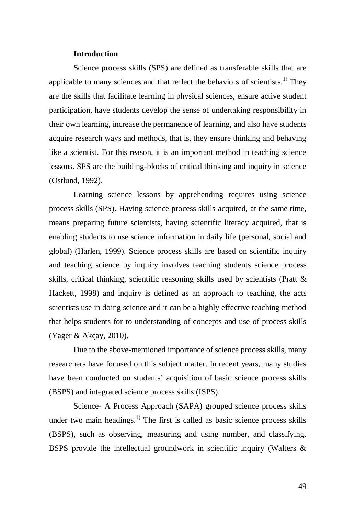#### **Introduction**

Science process skills (SPS) are defined as transferable skills that are applicable to many sciences and that reflect the behaviors of scientists.<sup>1)</sup> They are the skills that facilitate learning in physical sciences, ensure active student participation, have students develop the sense of undertaking responsibility in their own learning, increase the permanence of learning, and also have students acquire research ways and methods, that is, they ensure thinking and behaving like a scientist. For this reason, it is an important method in teaching science lessons. SPS are the building-blocks of critical thinking and inquiry in science (Ostlund, 1992).

Learning science lessons by apprehending requires using science process skills (SPS). Having science process skills acquired, at the same time, means preparing future scientists, having scientific literacy acquired, that is enabling students to use science information in daily life (personal, social and global) (Harlen, 1999). Science process skills are based on scientific inquiry and teaching science by inquiry involves teaching students science process skills, critical thinking, scientific reasoning skills used by scientists (Pratt & Hackett, 1998) and inquiry is defined as an approach to teaching, the acts scientists use in doing science and it can be a highly effective teaching method that helps students for to understanding of concepts and use of process skills (Yager & Akçay, 2010).

Due to the above-mentioned importance of science process skills, many researchers have focused on this subject matter. In recent years, many studies have been conducted on students' acquisition of basic science process skills (BSPS) and integrated science process skills (ISPS).

Science- A Process Approach (SAPA) grouped science process skills under two main headings.<sup>1)</sup> The first is called as basic science process skills (BSPS), such as observing, measuring and using number, and classifying. BSPS provide the intellectual groundwork in scientific inquiry (Walters &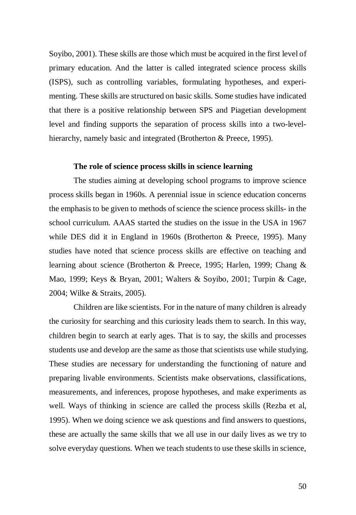Soyibo, 2001). These skills are those which must be acquired in the first level of primary education. And the latter is called integrated science process skills (ISPS), such as controlling variables, formulating hypotheses, and experimenting. These skills are structured on basic skills. Some studies have indicated that there is a positive relationship between SPS and Piagetian development level and finding supports the separation of process skills into a two-levelhierarchy, namely basic and integrated (Brotherton & Preece, 1995).

#### **The role of science process skills in science learning**

The studies aiming at developing school programs to improve science process skills began in 1960s. A perennial issue in science education concerns the emphasis to be given to methods of science the science process skills- in the school curriculum. AAAS started the studies on the issue in the USA in 1967 while DES did it in England in 1960s (Brotherton & Preece, 1995). Many studies have noted that science process skills are effective on teaching and learning about science (Brotherton & Preece, 1995; Harlen, 1999; Chang & Mao, 1999; Keys & Bryan, 2001; Walters & Soyibo, 2001; Turpin & Cage, 2004; Wilke & Straits, 2005).

Children are like scientists. For in the nature of many children is already the curiosity for searching and this curiosity leads them to search. In this way, children begin to search at early ages. That is to say, the skills and processes students use and develop are the same as those that scientists use while studying. These studies are necessary for understanding the functioning of nature and preparing livable environments. Scientists make observations, classifications, measurements, and inferences, propose hypotheses, and make experiments as well. Ways of thinking in science are called the process skills (Rezba et al, 1995). When we doing science we ask questions and find answers to questions, these are actually the same skills that we all use in our daily lives as we try to solve everyday questions. When we teach students to use these skills in science,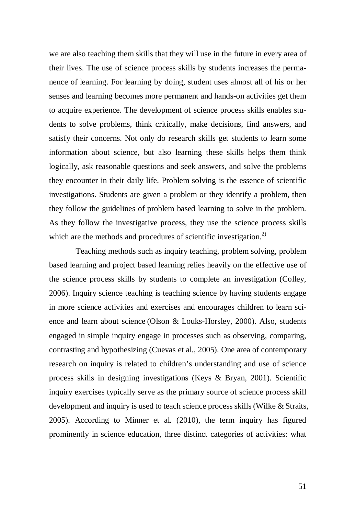we are also teaching them skills that they will use in the future in every area of their lives. The use of science process skills by students increases the permanence of learning. For learning by doing, student uses almost all of his or her senses and learning becomes more permanent and hands-on activities get them to acquire experience. The development of science process skills enables students to solve problems, think critically, make decisions, find answers, and satisfy their concerns. Not only do research skills get students to learn some information about science, but also learning these skills helps them think logically, ask reasonable questions and seek answers, and solve the problems they encounter in their daily life. Problem solving is the essence of scientific investigations. Students are given a problem or they identify a problem, then they follow the guidelines of problem based learning to solve in the problem. As they follow the investigative process, they use the science process skills which are the methods and procedures of scientific investigation.<sup>2)</sup>

 Teaching methods such as inquiry teaching, problem solving, problem based learning and project based learning relies heavily on the effective use of the science process skills by students to complete an investigation (Colley, 2006). Inquiry science teaching is teaching science by having students engage in more science activities and exercises and encourages children to learn science and learn about science (Olson & Louks-Horsley, 2000). Also, students engaged in simple inquiry engage in processes such as observing, comparing, contrasting and hypothesizing (Cuevas et al., 2005). One area of contemporary research on inquiry is related to children's understanding and use of science process skills in designing investigations (Keys & Bryan, 2001). Scientific inquiry exercises typically serve as the primary source of science process skill development and inquiry is used to teach science process skills (Wilke & Straits, 2005). According to Minner et al. (2010), the term inquiry has figured prominently in science education, three distinct categories of activities: what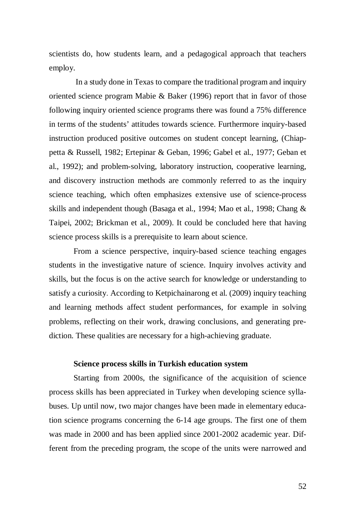scientists do, how students learn, and a pedagogical approach that teachers employ.

 In a study done in Texas to compare the traditional program and inquiry oriented science program Mabie  $\&$  Baker (1996) report that in favor of those following inquiry oriented science programs there was found a 75% difference in terms of the students' attitudes towards science. Furthermore inquiry-based instruction produced positive outcomes on student concept learning, (Chiappetta & Russell, 1982; Ertepinar & Geban, 1996; Gabel et al., 1977; Geban et al., 1992); and problem-solving, laboratory instruction, cooperative learning, and discovery instruction methods are commonly referred to as the inquiry science teaching, which often emphasizes extensive use of science-process skills and independent though (Basaga et al., 1994; Mao et al., 1998; Chang & Taipei, 2002; Brickman et al., 2009). It could be concluded here that having science process skills is a prerequisite to learn about science.

From a science perspective, inquiry-based science teaching engages students in the investigative nature of science. Inquiry involves activity and skills, but the focus is on the active search for knowledge or understanding to satisfy a curiosity. According to Ketpichainarong et al. (2009) inquiry teaching and learning methods affect student performances, for example in solving problems, reflecting on their work, drawing conclusions, and generating prediction. These qualities are necessary for a high-achieving graduate.

#### **Science process skills in Turkish education system**

Starting from 2000s, the significance of the acquisition of science process skills has been appreciated in Turkey when developing science syllabuses. Up until now, two major changes have been made in elementary education science programs concerning the 6-14 age groups. The first one of them was made in 2000 and has been applied since 2001-2002 academic year. Different from the preceding program, the scope of the units were narrowed and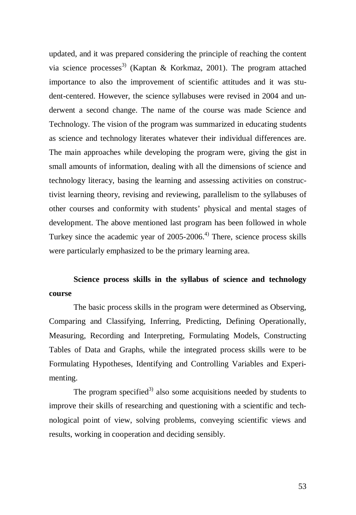updated, and it was prepared considering the principle of reaching the content via science processes<sup>3)</sup> (Kaptan & Korkmaz, 2001). The program attached importance to also the improvement of scientific attitudes and it was student-centered. However, the science syllabuses were revised in 2004 and underwent a second change. The name of the course was made Science and Technology. The vision of the program was summarized in educating students as science and technology literates whatever their individual differences are. The main approaches while developing the program were, giving the gist in small amounts of information, dealing with all the dimensions of science and technology literacy, basing the learning and assessing activities on constructivist learning theory, revising and reviewing, parallelism to the syllabuses of other courses and conformity with students' physical and mental stages of development. The above mentioned last program has been followed in whole Turkey since the academic year of  $2005-2006$ <sup>4)</sup> There, science process skills were particularly emphasized to be the primary learning area.

## **Science process skills in the syllabus of science and technology course**

The basic process skills in the program were determined as Observing, Comparing and Classifying, Inferring, Predicting, Defining Operationally, Measuring, Recording and Interpreting, Formulating Models, Constructing Tables of Data and Graphs, while the integrated process skills were to be Formulating Hypotheses, Identifying and Controlling Variables and Experimenting.

The program specified<sup>3)</sup> also some acquisitions needed by students to improve their skills of researching and questioning with a scientific and technological point of view, solving problems, conveying scientific views and results, working in cooperation and deciding sensibly.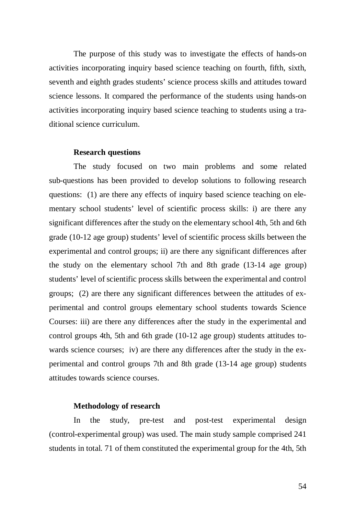The purpose of this study was to investigate the effects of hands-on activities incorporating inquiry based science teaching on fourth, fifth, sixth, seventh and eighth grades students' science process skills and attitudes toward science lessons. It compared the performance of the students using hands-on activities incorporating inquiry based science teaching to students using a traditional science curriculum.

#### **Research questions**

The study focused on two main problems and some related sub-questions has been provided to develop solutions to following research questions: (1) are there any effects of inquiry based science teaching on elementary school students' level of scientific process skills: i) are there any significant differences after the study on the elementary school 4th, 5th and 6th grade (10-12 age group) students' level of scientific process skills between the experimental and control groups; ii) are there any significant differences after the study on the elementary school 7th and 8th grade (13-14 age group) students' level of scientific process skills between the experimental and control groups; (2) are there any significant differences between the attitudes of experimental and control groups elementary school students towards Science Courses: iii) are there any differences after the study in the experimental and control groups 4th, 5th and 6th grade (10-12 age group) students attitudes towards science courses; iv) are there any differences after the study in the experimental and control groups 7th and 8th grade (13-14 age group) students attitudes towards science courses.

#### **Methodology of research**

In the study, pre-test and post-test experimental design (control-experimental group) was used. The main study sample comprised 241 students in total. 71 of them constituted the experimental group for the 4th, 5th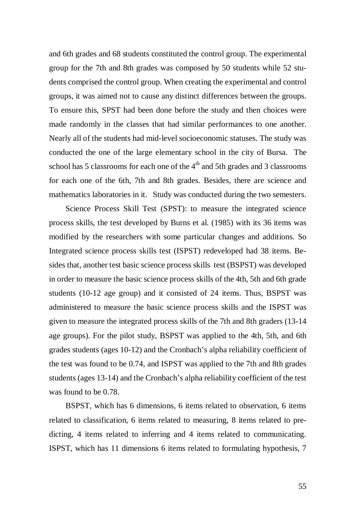and 6th grades and 68 students constituted the control group. The experimental group for the 7th and 8th grades was composed by 50 students while 52 students comprised the control group. When creating the experimental and control groups, it was aimed not to cause any distinct differences between the groups. To ensure this, SPST had been done before the study and then choices were made randomly in the classes that had similar performances to one another. Nearly all of the students had mid-level socioeconomic statuses. The study was conducted the one of the large elementary school in the city of Bursa. The school has 5 classrooms for each one of the  $4<sup>th</sup>$  and 5th grades and 3 classrooms for each one of the 6th, 7th and 8th grades. Besides, there are science and mathematics laboratories in it. Study was conducted during the two semesters.

 Science Process Skill Test (SPST): to measure the integrated science process skills, the test developed by Burns et al. (1985) with its 36 items was modified by the researchers with some particular changes and additions. So Integrated science process skills test (ISPST) redeveloped had 38 items. Besides that, another test basic science process skills test (BSPST) was developed in order to measure the basic science process skills of the 4th, 5th and 6th grade students (10-12 age group) and it consisted of 24 items. Thus, BSPST was administered to measure the basic science process skills and the ISPST was given to measure the integrated process skills of the 7th and 8th graders (13-14 age groups). For the pilot study, BSPST was applied to the 4th, 5th, and 6th grades students (ages 10-12) and the Cronbach's alpha reliability coefficient of the test was found to be 0.74, and ISPST was applied to the 7th and 8th grades students (ages 13-14) and the Cronbach's alpha reliability coefficient of the test was found to be 0.78.

 BSPST, which has 6 dimensions, 6 items related to observation, 6 items related to classification, 6 items related to measuring, 8 items related to predicting, 4 items related to inferring and 4 items related to communicating. ISPST, which has 11 dimensions 6 items related to formulating hypothesis, 7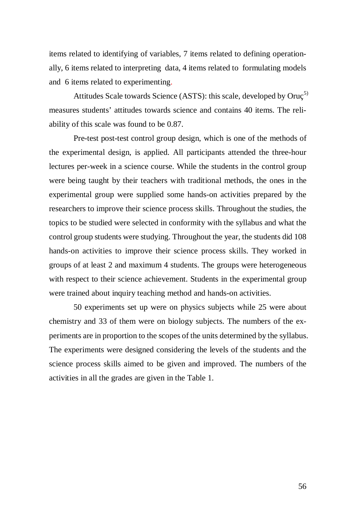items related to identifying of variables, 7 items related to defining operationally, 6 items related to interpreting data, 4 items related to formulating models and 6 items related to experimenting.

Attitudes Scale towards Science (ASTS): this scale, developed by Oruç<sup>5)</sup> measures students' attitudes towards science and contains 40 items. The reliability of this scale was found to be 0.87.

Pre-test post-test control group design, which is one of the methods of the experimental design, is applied. All participants attended the three-hour lectures per-week in a science course. While the students in the control group were being taught by their teachers with traditional methods, the ones in the experimental group were supplied some hands-on activities prepared by the researchers to improve their science process skills. Throughout the studies, the topics to be studied were selected in conformity with the syllabus and what the control group students were studying. Throughout the year, the students did 108 hands-on activities to improve their science process skills. They worked in groups of at least 2 and maximum 4 students. The groups were heterogeneous with respect to their science achievement. Students in the experimental group were trained about inquiry teaching method and hands-on activities.

50 experiments set up were on physics subjects while 25 were about chemistry and 33 of them were on biology subjects. The numbers of the experiments are in proportion to the scopes of the units determined by the syllabus. The experiments were designed considering the levels of the students and the science process skills aimed to be given and improved. The numbers of the activities in all the grades are given in the Table 1.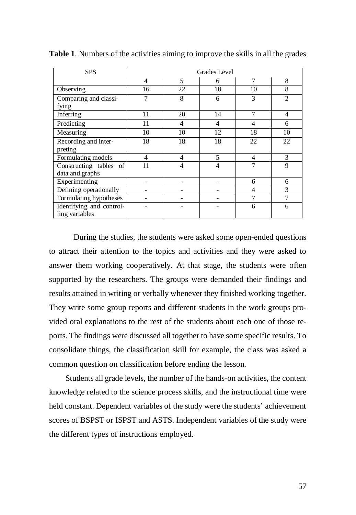| <b>SPS</b>                                 | Grades Level |                |                |                |                |  |
|--------------------------------------------|--------------|----------------|----------------|----------------|----------------|--|
|                                            | 4            | 5              | 6              | 7              | 8              |  |
| Observing                                  | 16           | 22             | 18             | 10             | 8              |  |
| Comparing and classi-<br>fying             |              | 8              | 6              | 3              | $\overline{2}$ |  |
| Inferring                                  | 11           | 20             | 14             | 7              | $\overline{4}$ |  |
| Predicting                                 | 11           | 4              | 4              | $\overline{4}$ | 6              |  |
| Measuring                                  | 10           | 10             | 12             | 18             | 10             |  |
| Recording and inter-                       | 18           | 18             | 18             | 22             | 22             |  |
| preting                                    |              |                |                |                |                |  |
| Formulating models                         | 4            | $\overline{4}$ | 5              | $\overline{4}$ | 3              |  |
| Constructing tables of                     | 11           | 4              | $\overline{4}$ | 7              | 9              |  |
| data and graphs                            |              |                |                |                |                |  |
| Experimenting                              |              |                |                | 6              | 6              |  |
| Defining operationally                     |              |                |                | $\overline{4}$ | 3              |  |
| Formulating hypotheses                     |              |                |                | 7              | 7              |  |
| Identifying and control-<br>ling variables |              |                |                | 6              | 6              |  |

**Table 1**. Numbers of the activities aiming to improve the skills in all the grades

During the studies, the students were asked some open-ended questions to attract their attention to the topics and activities and they were asked to answer them working cooperatively. At that stage, the students were often supported by the researchers. The groups were demanded their findings and results attained in writing or verbally whenever they finished working together. They write some group reports and different students in the work groups provided oral explanations to the rest of the students about each one of those reports. The findings were discussed all together to have some specific results. To consolidate things, the classification skill for example, the class was asked a common question on classification before ending the lesson.

 Students all grade levels, the number of the hands-on activities, the content knowledge related to the science process skills, and the instructional time were held constant. Dependent variables of the study were the students' achievement scores of BSPST or ISPST and ASTS. Independent variables of the study were the different types of instructions employed.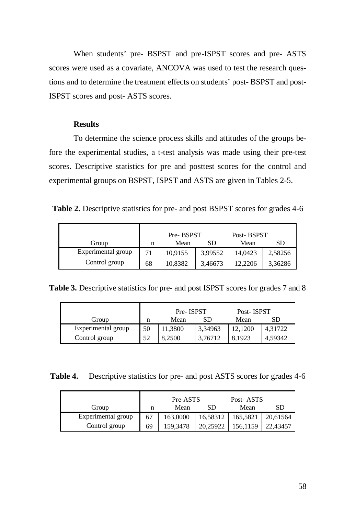When students' pre- BSPST and pre-ISPST scores and pre- ASTS scores were used as a covariate, ANCOVA was used to test the research questions and to determine the treatment effects on students' post- BSPST and post-ISPST scores and post- ASTS scores.

### **Results**

To determine the science process skills and attitudes of the groups before the experimental studies, a t-test analysis was made using their pre-test scores. Descriptive statistics for pre and posttest scores for the control and experimental groups on BSPST, ISPST and ASTS are given in Tables 2-5.

**Table 2.** Descriptive statistics for pre- and post BSPST scores for grades 4-6

|                    | Pre-BSPST |         | Post-BSPST |         |         |
|--------------------|-----------|---------|------------|---------|---------|
| Group              | n         | Mean    | SD         | Mean    | SD      |
| Experimental group |           | 10,9155 | 3,99552    | 14,0423 | 2,58256 |
| Control group      | 68        | 10,8382 | 3,46673    | 12.2206 | 3,36286 |

**Table 3.** Descriptive statistics for pre- and post ISPST scores for grades 7 and 8

|                    |    | Pre-ISPST |         | Post-ISPST |         |
|--------------------|----|-----------|---------|------------|---------|
| Group              | n  | Mean      | SD      | Mean       | SD      |
| Experimental group | 50 | 11,3800   | 3,34963 | 12,1200    | 4,31722 |
| Control group      | 52 | 8,2500    | 3.76712 | 8.1923     | 4,59342 |

**Table 4.** Descriptive statistics for pre- and post ASTS scores for grades 4-6

|                    | Pre-ASTS |          |          | Post-ASTS |          |  |
|--------------------|----------|----------|----------|-----------|----------|--|
| Group              | n        | Mean     | SD       | Mean      | SD       |  |
| Experimental group | 67       | 163,0000 | 16,58312 | 165,5821  | 20,61564 |  |
| Control group      | 69       | 159,3478 | 20.25922 | 156,1159  | 22,43457 |  |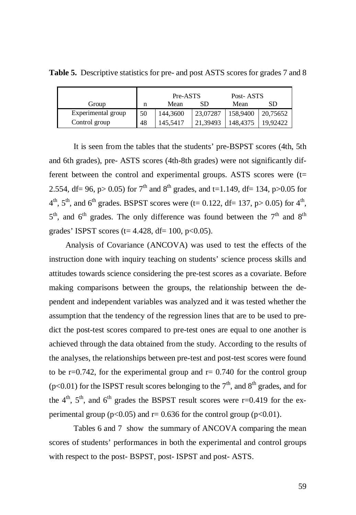|                    |    | Pre-ASTS |          | Post-ASTS |          |
|--------------------|----|----------|----------|-----------|----------|
| Group              | n  | Mean     | SD       | Mean      | SD       |
| Experimental group | 50 | 144,3600 | 23,07287 | 158,9400  | 20,75652 |
| Control group      | 48 | 145,5417 | 21.39493 | 148.4375  | 19.92422 |

**Table 5.** Descriptive statistics for pre- and post ASTS scores for grades 7 and 8

It is seen from the tables that the students' pre-BSPST scores (4th, 5th and 6th grades), pre- ASTS scores (4th-8th grades) were not significantly different between the control and experimental groups. ASTS scores were  $(t=$ 2.554, df = 96, p > 0.05) for  $7<sup>th</sup>$  and  $8<sup>th</sup>$  grades, and t=1.149, df = 134, p > 0.05 for  $4<sup>th</sup>$ ,  $5<sup>th</sup>$ , and  $6<sup>th</sup>$  grades. BSPST scores were (t= 0.122, df= 137, p> 0.05) for  $4<sup>th</sup>$ ,  $5<sup>th</sup>$ , and  $6<sup>th</sup>$  grades. The only difference was found between the  $7<sup>th</sup>$  and  $8<sup>th</sup>$ grades' ISPST scores ( $t= 4.428$ , d $f= 100$ , p $< 0.05$ ).

 Analysis of Covariance (ANCOVA) was used to test the effects of the instruction done with inquiry teaching on students' science process skills and attitudes towards science considering the pre-test scores as a covariate. Before making comparisons between the groups, the relationship between the dependent and independent variables was analyzed and it was tested whether the assumption that the tendency of the regression lines that are to be used to predict the post-test scores compared to pre-test ones are equal to one another is achieved through the data obtained from the study. According to the results of the analyses, the relationships between pre-test and post-test scores were found to be  $r=0.742$ , for the experimental group and  $r=0.740$  for the control group ( $p<0.01$ ) for the ISPST result scores belonging to the  $7<sup>th</sup>$ , and  $8<sup>th</sup>$  grades, and for the  $4<sup>th</sup>$ ,  $5<sup>th</sup>$ , and  $6<sup>th</sup>$  grades the BSPST result scores were r=0.419 for the experimental group ( $p<0.05$ ) and  $r=0.636$  for the control group ( $p<0.01$ ).

Tables 6 and 7 show the summary of ANCOVA comparing the mean scores of students' performances in both the experimental and control groups with respect to the post- BSPST, post- ISPST and post- ASTS.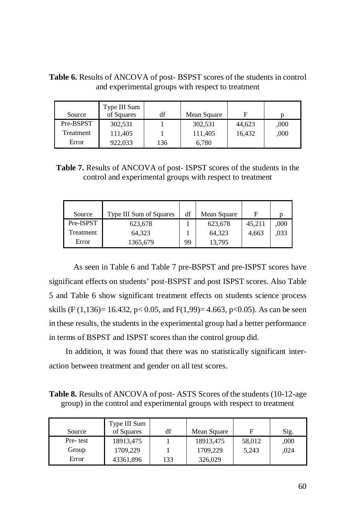| and experimental groups with respect to treatment |                            |    |             |        |      |  |
|---------------------------------------------------|----------------------------|----|-------------|--------|------|--|
| Source                                            | Type III Sum<br>of Squares | df | Mean Square |        |      |  |
| Pre-BSPST                                         | 302,531                    |    | 302.531     | 44.623 | .000 |  |

Treatment 111,405 1 111,405 16,432 ,000

Error 1 922,033 136 6,780

**Table 6.** Results of ANCOVA of post- BSPST scores of the students in control and experimental groups with respect to treatment

**Table 7.** Results of ANCOVA of post- ISPST scores of the students in the control and experimental groups with respect to treatment

| Source    | <b>Type III Sum of Squares</b> | df | Mean Square | F      |      |
|-----------|--------------------------------|----|-------------|--------|------|
| Pre-ISPST | 623,678                        |    | 623,678     | 45,211 | ,000 |
| Treatment | 64,323                         |    | 64,323      | 4,663  | .033 |
| Error     | 1365,679                       | 99 | 13,795      |        |      |

As seen in Table 6 and Table 7 pre-BSPST and pre-ISPST scores have significant effects on students' post-BSPST and post ISPST scores. Also Table 5 and Table 6 show significant treatment effects on students science process skills (F (1,136) = 16.432, p < 0.05, and F(1,99) = 4.663, p < 0.05). As can be seen in these results, the students in the experimental group had a better performance in terms of BSPST and ISPST scores than the control group did.

 In addition, it was found that there was no statistically significant interaction between treatment and gender on all test scores.

**Table 8.** Results of ANCOVA of post- ASTS Scores of the students (10-12-age group) in the control and experimental groups with respect to treatment

| Source   | Type III Sum<br>of Squares | df  | Mean Square | F      | Sig. |
|----------|----------------------------|-----|-------------|--------|------|
| Pre-test | 18913,475                  |     | 18913,475   | 58,012 | ,000 |
| Group    | 1709,229                   |     | 1709,229    | 5,243  | .024 |
| Error    | 43361,896                  | 133 | 326,029     |        |      |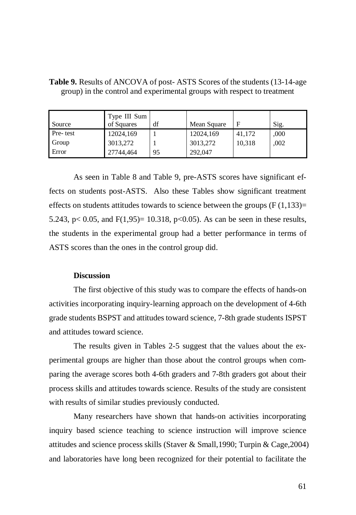| Source    | Type III Sum<br>of Squares | df | Mean Square |        | Sig. |
|-----------|----------------------------|----|-------------|--------|------|
| Pre- test | 12024,169                  |    | 12024,169   | 41,172 | ,000 |
| Group     | 3013,272                   |    | 3013,272    | 10,318 | .002 |
| Error     | 27744,464                  | 95 | 292,047     |        |      |

**Table 9.** Results of ANCOVA of post- ASTS Scores of the students (13-14-age group) in the control and experimental groups with respect to treatment

As seen in Table 8 and Table 9, pre-ASTS scores have significant effects on students post-ASTS. Also these Tables show significant treatment effects on students attitudes towards to science between the groups  $(F(1,133))$ = 5.243, p $< 0.05$ , and F(1,95)= 10.318, p $< 0.05$ ). As can be seen in these results, the students in the experimental group had a better performance in terms of ASTS scores than the ones in the control group did.

#### **Discussion**

The first objective of this study was to compare the effects of hands-on activities incorporating inquiry-learning approach on the development of 4-6th grade students BSPST and attitudes toward science, 7-8th grade students ISPST and attitudes toward science.

The results given in Tables 2-5 suggest that the values about the experimental groups are higher than those about the control groups when comparing the average scores both 4-6th graders and 7-8th graders got about their process skills and attitudes towards science. Results of the study are consistent with results of similar studies previously conducted.

Many researchers have shown that hands-on activities incorporating inquiry based science teaching to science instruction will improve science attitudes and science process skills (Staver & Small,1990; Turpin & Cage,2004) and laboratories have long been recognized for their potential to facilitate the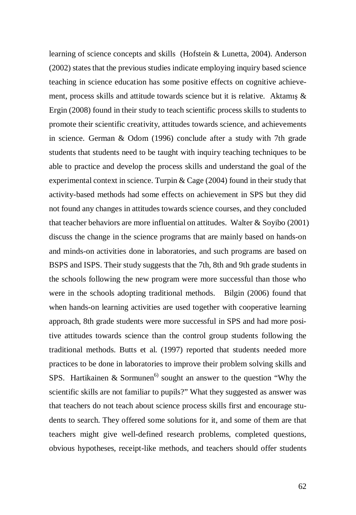learning of science concepts and skills (Hofstein & Lunetta, 2004). Anderson (2002) states that the previous studies indicate employing inquiry based science teaching in science education has some positive effects on cognitive achievement, process skills and attitude towards science but it is relative. Aktamis  $\&$ Ergin (2008) found in their study to teach scientific process skills to students to promote their scientific creativity, attitudes towards science, and achievements in science. German & Odom (1996) conclude after a study with 7th grade students that students need to be taught with inquiry teaching techniques to be able to practice and develop the process skills and understand the goal of the experimental context in science. Turpin & Cage (2004) found in their study that activity-based methods had some effects on achievement in SPS but they did not found any changes in attitudes towards science courses, and they concluded that teacher behaviors are more influential on attitudes. Walter & Soyibo (2001) discuss the change in the science programs that are mainly based on hands-on and minds-on activities done in laboratories, and such programs are based on BSPS and ISPS. Their study suggests that the 7th, 8th and 9th grade students in the schools following the new program were more successful than those who were in the schools adopting traditional methods. Bilgin (2006) found that when hands-on learning activities are used together with cooperative learning approach, 8th grade students were more successful in SPS and had more positive attitudes towards science than the control group students following the traditional methods. Butts et al. (1997) reported that students needed more practices to be done in laboratories to improve their problem solving skills and SPS. Hartikainen  $\&$  Sormunen<sup>6)</sup> sought an answer to the question "Why the scientific skills are not familiar to pupils?" What they suggested as answer was that teachers do not teach about science process skills first and encourage students to search. They offered some solutions for it, and some of them are that teachers might give well-defined research problems, completed questions, obvious hypotheses, receipt-like methods, and teachers should offer students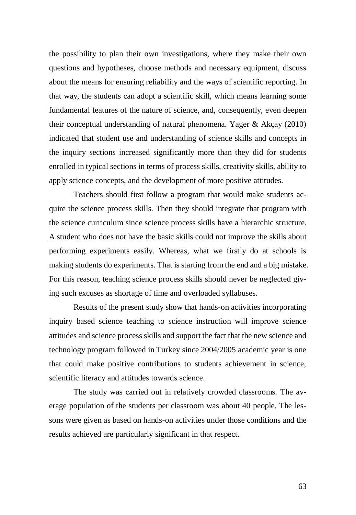the possibility to plan their own investigations, where they make their own questions and hypotheses, choose methods and necessary equipment, discuss about the means for ensuring reliability and the ways of scientific reporting. In that way, the students can adopt a scientific skill, which means learning some fundamental features of the nature of science, and, consequently, even deepen their conceptual understanding of natural phenomena. Yager & Akçay (2010) indicated that student use and understanding of science skills and concepts in the inquiry sections increased significantly more than they did for students enrolled in typical sections in terms of process skills, creativity skills, ability to apply science concepts, and the development of more positive attitudes.

Teachers should first follow a program that would make students acquire the science process skills. Then they should integrate that program with the science curriculum since science process skills have a hierarchic structure. A student who does not have the basic skills could not improve the skills about performing experiments easily. Whereas, what we firstly do at schools is making students do experiments. That is starting from the end and a big mistake. For this reason, teaching science process skills should never be neglected giving such excuses as shortage of time and overloaded syllabuses.

Results of the present study show that hands-on activities incorporating inquiry based science teaching to science instruction will improve science attitudes and science process skills and support the fact that the new science and technology program followed in Turkey since 2004/2005 academic year is one that could make positive contributions to students achievement in science, scientific literacy and attitudes towards science.

The study was carried out in relatively crowded classrooms. The average population of the students per classroom was about 40 people. The lessons were given as based on hands-on activities under those conditions and the results achieved are particularly significant in that respect.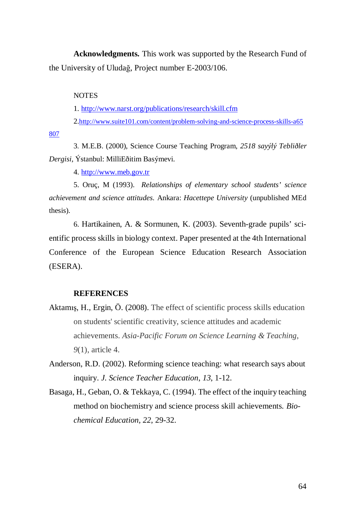**Acknowledgments.** This work was supported by the Research Fund of the University of Uludağ, Project number E-2003/106.

#### **NOTES**

1. <http://www.narst.org/publications/research/skill.cfm>

2.<http://www.suite101.com/content/problem-solving-and-science-process-skills-a65>

807

3. M.E.B. (2000), Science Course Teaching Program, *2518 sayýlý Tebliðler Dergisi*, Ýstanbul: MilliEðitim Basýmevi.

4. <http://www.meb.gov.tr>

5. Oruç, M (1993). *Relationships of elementary school students' science achievement and science attitudes.* Ankara: *Hacettepe University* (unpublished MEd thesis).

6. Hartikainen, A. & Sormunen, K. (2003). Seventh-grade pupils' scientific process skills in biology context. Paper presented at the 4th International Conference of the European Science Education Research Association (ESERA).

### **REFERENCES**

- Aktamış, H., Ergin, Ö. (2008). The effect of scientific process skills education on students' scientific creativity, science attitudes and academic achievements. *Asia-Pacific Forum on Science Learning & Teaching*, *9*(1), article 4.
- Anderson, R.D. (2002). Reforming science teaching: what research says about inquiry. *J. Science Teacher Education*, *13*, 1-12.
- Basaga, H., Geban, O. & Tekkaya, C. (1994). The effect of the inquiry teaching method on biochemistry and science process skill achievements. *Biochemical Education, 22*, 29-32.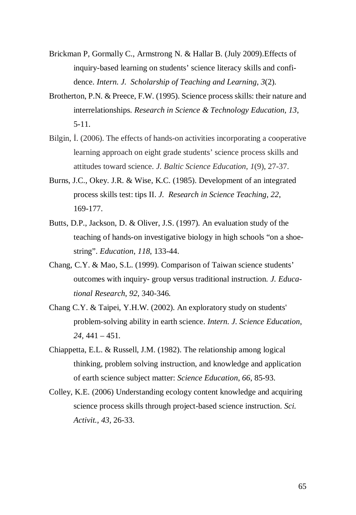- Brickman P, Gormally C., Armstrong N. & Hallar B. (July 2009).Effects of inquiry-based learning on students' science literacy skills and confidence. *Intern. J. Scholarship of Teaching and Learning, 3*(2).
- Brotherton, P.N. & Preece, F.W. (1995). Science process skills: their nature and interrelationships. *Research in Science & Technology Education, 13*, 5-11.
- Bilgin, I. (2006). The effects of hands-on activities incorporating a cooperative learning approach on eight grade students' science process skills and attitudes toward science. *J. Baltic Science Education*, *1*(9), 27-37.
- Burns, J.C., Okey. J.R. & Wise, K.C. (1985). Development of an integrated process skills test: tips II. *J. Research in Science Teaching, 22*, 169-177.
- Butts, D.P., Jackson, D. & Oliver, J.S. (1997). An evaluation study of the teaching of hands-on investigative biology in high schools "on a shoestring". *Education*, *118*, 133-44.
- Chang, C.Y. & Mao, S.L. (1999). Comparison of Taiwan science students' outcomes with inquiry- group versus traditional instruction. *J. Educational Research*, *92*, 340-346.
- Chang C.Y. & Taipei, Y.H.W. (2002). An exploratory study on students' problem-solving ability in earth science. *Intern. J. Science Education*, *24,* 441 – 451.
- Chiappetta, E.L. & Russell, J.M. (1982). The relationship among logical thinking, problem solving instruction, and knowledge and application of earth science subject matter: *Science Education*, *66*, 85-93.
- Colley, K.E. (2006) Understanding ecology content knowledge and acquiring science process skills through project-based science instruction. *Sci. Activit., 43,* 26-33.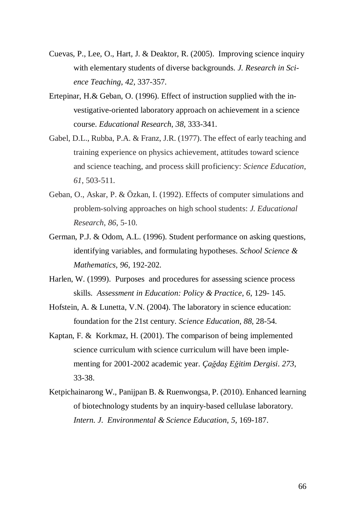- Cuevas, P., Lee, O., Hart, J. & Deaktor, R. (2005). Improving science inquiry with elementary students of diverse backgrounds. *J. Research in Science Teaching*, *42*, 337-357.
- Ertepinar, H.& Geban, O. (1996). Effect of instruction supplied with the investigative-oriented laboratory approach on achievement in a science course. *Educational Research*, *38*, 333-341.
- Gabel, D.L., Rubba, P.A. & Franz, J.R. (1977). The effect of early teaching and training experience on physics achievement, attitudes toward science and science teaching, and process skill proficiency: *Science Education*, *61*, 503-511.
- Geban, O., Askar, P. & Özkan, I. (1992). Effects of computer simulations and problem-solving approaches on high school students: *J. Educational Research*, *86*, 5-10.
- German, P.J. & Odom, A.L. (1996). Student performance on asking questions, identifying variables, and formulating hypotheses. *School Science & Mathematics*, *96*, 192-202.
- Harlen, W. (1999). Purposes and procedures for assessing science process skills. *Assessment in Education: Policy & Practice*, *6*, 129- 145.
- Hofstein, A. & Lunetta, V.N. (2004). The laboratory in science education: foundation for the 21st century. *Science Education, 88*, 28-54.
- Kaptan, F. & Korkmaz, H. (2001). The comparison of being implemented science curriculum with science curriculum will have been implementing for 2001-2002 academic year. *Ça÷daú E÷itim Dergisi*. *273*, 33-38.
- Ketpichainarong W., Panijpan B. & Ruenwongsa, P. (2010). Enhanced learning of biotechnology students by an inquiry-based cellulase laboratory. *Intern. J. Environmental & Science Education*, *5*, 169-187.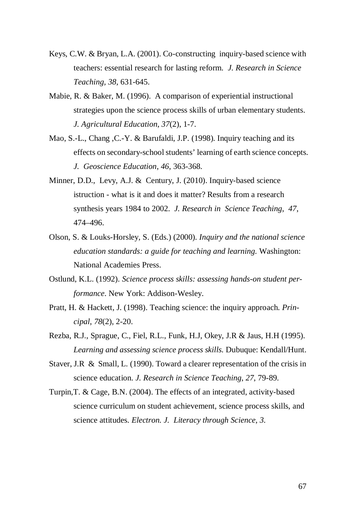- Keys, C.W. & Bryan, L.A. (2001). Co-constructing inquiry-based science with teachers: essential research for lasting reform. *J. Research in Science Teaching, 38,* 631-645.
- Mabie, R. & Baker, M. (1996). A comparison of experiential instructional strategies upon the science process skills of urban elementary students. *J. Agricultural Education*, *37*(2), 1-7.
- Mao, S.-L., Chang ,C.-Y. & Barufaldi, J.P. (1998). Inquiry teaching and its effects on secondary-school students' learning of earth science concepts. *J. Geoscience Education*, *46*, 363-368.
- Minner, D.D., Levy, A.J. & Century, J. (2010). Inquiry-based science istruction - what is it and does it matter? Results from a research synthesis years 1984 to 2002. *J. Research in Science Teaching*, *47*, 474–496.
- Olson, S. & Louks-Horsley, S. (Eds.) (2000). *Inquiry and the national science education standards: a guide for teaching and learning.* Washington: National Academies Press.
- Ostlund, K.L. (1992). *Science process skills: assessing hands-on student performance*. New York: Addison-Wesley.
- Pratt, H. & Hackett, J. (1998). Teaching science: the inquiry approach. *Principal*, *78*(2), 2-20.
- Rezba, R.J., Sprague, C., Fiel, R.L., Funk, H.J, Okey, J.R & Jaus, H.H (1995). *Learning and assessing science process skills.* Dubuque: Kendall/Hunt.
- Staver, J.R & Small, L. (1990). Toward a clearer representation of the crisis in science education. *J. Research in Science Teaching*, *27*, 79-89.
- Turpin,T. & Cage, B.N. (2004). The effects of an integrated, activity-based science curriculum on student achievement, science process skills, and science attitudes. *Electron. J. Literacy through Science*, *3.*